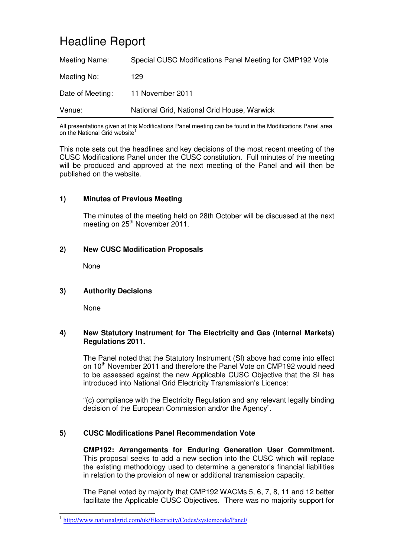# Headline Report

| Meeting Name:    | Special CUSC Modifications Panel Meeting for CMP192 Vote |
|------------------|----------------------------------------------------------|
| Meeting No:      | 129                                                      |
| Date of Meeting: | 11 November 2011                                         |
| Venue:           | National Grid, National Grid House, Warwick              |

All presentations given at this Modifications Panel meeting can be found in the Modifications Panel area on the National Grid website<sup>1</sup>

This note sets out the headlines and key decisions of the most recent meeting of the CUSC Modifications Panel under the CUSC constitution. Full minutes of the meeting will be produced and approved at the next meeting of the Panel and will then be published on the website.

### **1) Minutes of Previous Meeting**

The minutes of the meeting held on 28th October will be discussed at the next meeting on 25<sup>th</sup> November 2011.

#### **2) New CUSC Modification Proposals**

None

#### **3) Authority Decisions**

None

#### **4) New Statutory Instrument for The Electricity and Gas (Internal Markets) Regulations 2011.**

The Panel noted that the Statutory Instrument (SI) above had come into effect on 10<sup>th</sup> November 2011 and therefore the Panel Vote on CMP192 would need to be assessed against the new Applicable CUSC Objective that the SI has introduced into National Grid Electricity Transmission's Licence:

"(c) compliance with the Electricity Regulation and any relevant legally binding decision of the European Commission and/or the Agency".

#### **5) CUSC Modifications Panel Recommendation Vote**

**CMP192: Arrangements for Enduring Generation User Commitment.**  This proposal seeks to add a new section into the CUSC which will replace the existing methodology used to determine a generator's financial liabilities in relation to the provision of new or additional transmission capacity.

The Panel voted by majority that CMP192 WACMs 5, 6, 7, 8, 11 and 12 better facilitate the Applicable CUSC Objectives. There was no majority support for

<sup>&</sup>lt;sup>1</sup> http://www.nationalgrid.com/uk/Electricity/Codes/systemcode/Panel/